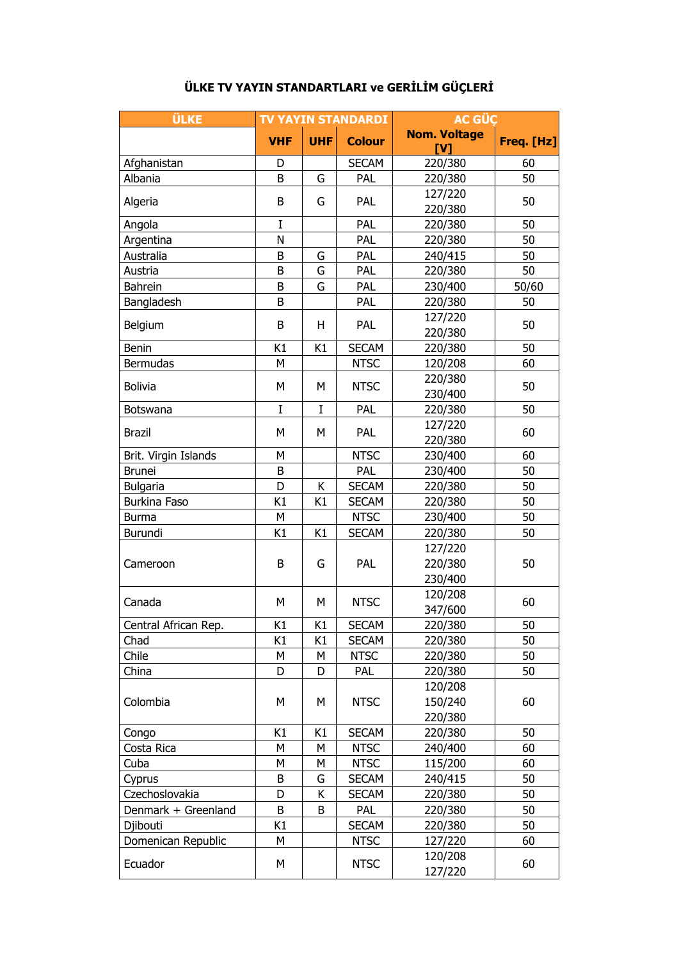| <b>ÜLKE</b>          | <b>TV YAYIN STANDARDI</b> |             |               | <b>AC GÜÇ</b>                     |            |
|----------------------|---------------------------|-------------|---------------|-----------------------------------|------------|
|                      | <b>VHF</b>                | <b>UHF</b>  | <b>Colour</b> | <b>Nom. Voltage</b><br><b>IV1</b> | Freq. [Hz] |
| Afghanistan          | D                         |             | <b>SECAM</b>  | 220/380                           | 60         |
| Albania              | B                         | G           | PAL           | 220/380                           | 50         |
| Algeria              | B                         | G           | PAL           | 127/220                           | 50         |
|                      |                           |             |               | 220/380                           |            |
| Angola               | I                         |             | PAL           | 220/380                           | 50         |
| Argentina            | N                         |             | PAL           | 220/380                           | 50         |
| Australia            | B                         | G           | PAL           | 240/415                           | 50         |
| Austria              | B                         | G           | PAL           | 220/380                           | 50         |
| Bahrein              | B                         | G           | PAL           | 230/400                           | 50/60      |
| Bangladesh           | B                         |             | PAL           | 220/380                           | 50         |
| Belgium              | B                         | H           | PAL           | 127/220                           | 50         |
|                      |                           |             |               | 220/380                           |            |
| Benin                | K1                        | K1          | <b>SECAM</b>  | 220/380                           | 50         |
| Bermudas             | М                         |             | <b>NTSC</b>   | 120/208                           | 60         |
| <b>Bolivia</b>       | M                         | M           | <b>NTSC</b>   | 220/380                           | 50         |
|                      |                           |             |               | 230/400                           |            |
| Botswana             | $\mathbf I$               | $\mathbf I$ | PAL           | 220/380                           | 50         |
| <b>Brazil</b>        | M                         | М           | PAL           | 127/220                           | 60         |
|                      |                           |             |               | 220/380                           |            |
| Brit. Virgin Islands | М                         |             | <b>NTSC</b>   | 230/400                           | 60         |
| <b>Brunei</b>        | B                         |             | PAL           | 230/400                           | 50         |
| Bulgaria             | D                         | К           | <b>SECAM</b>  | 220/380                           | 50         |
| Burkina Faso         | K1                        | K1          | <b>SECAM</b>  | 220/380                           | 50         |
| <b>Burma</b>         | M                         |             | <b>NTSC</b>   | 230/400                           | 50         |
| Burundi              | K1                        | K1          | <b>SECAM</b>  | 220/380                           | 50         |
|                      |                           |             |               | 127/220                           |            |
| Cameroon             | B                         | G           | PAL           | 220/380                           | 50         |
|                      |                           |             |               | 230/400                           |            |
| Canada               | M                         | М           | <b>NTSC</b>   | 120/208                           | 60         |
|                      |                           |             |               | 347/600                           |            |
| Central African Rep. | K1                        | K1          | <b>SECAM</b>  | 220/380                           | 50         |
| Chad                 | K1                        | K1          | <b>SECAM</b>  | 220/380                           | 50         |
| Chile                | М                         | М           | <b>NTSC</b>   | 220/380                           | 50         |
| China                | D                         | D           | <b>PAL</b>    | 220/380                           | 50         |
|                      |                           |             |               | 120/208                           |            |
| Colombia             | М                         | М           | <b>NTSC</b>   | 150/240                           | 60         |
|                      |                           |             |               | 220/380                           |            |
| Congo                | K1                        | K1          | <b>SECAM</b>  | 220/380                           | 50         |
| Costa Rica           | М                         | М           | <b>NTSC</b>   | 240/400                           | 60         |
| Cuba                 | M                         | М           | <b>NTSC</b>   | 115/200                           | 60         |
| Cyprus               | B                         | G           | <b>SECAM</b>  | 240/415                           | 50         |
| Czechoslovakia       | D                         | К           | <b>SECAM</b>  | 220/380                           | 50         |
| Denmark + Greenland  | B                         | B           | <b>PAL</b>    | 220/380                           | 50         |
| Djibouti             | K1                        |             | <b>SECAM</b>  | 220/380                           | 50         |
| Domenican Republic   | М                         |             | <b>NTSC</b>   | 127/220                           | 60         |
|                      |                           |             |               | 120/208                           |            |
| Ecuador              | М                         |             | <b>NTSC</b>   | 127/220                           | 60         |

## **ÜLKE TV YAYIN STANDARTLARI ve GERİLİM GÜÇLERİ**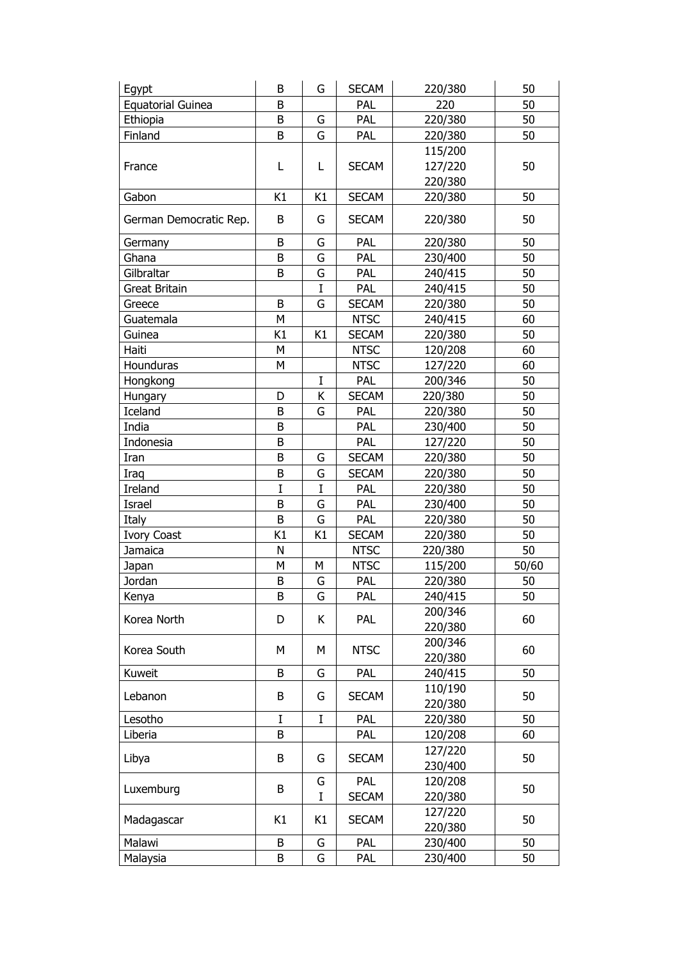| Egypt                    | B  | G           | <b>SECAM</b> | 220/380 | 50    |
|--------------------------|----|-------------|--------------|---------|-------|
| <b>Equatorial Guinea</b> | B  |             | PAL          | 220     | 50    |
| Ethiopia                 | B  | G           | PAL          | 220/380 | 50    |
| Finland                  | B  | G           | <b>PAL</b>   | 220/380 | 50    |
|                          |    |             |              | 115/200 |       |
| France                   | L  | L           | <b>SECAM</b> | 127/220 | 50    |
|                          |    |             |              | 220/380 |       |
| Gabon                    | K1 | K1          | <b>SECAM</b> | 220/380 | 50    |
|                          |    |             |              |         |       |
| German Democratic Rep.   | B  | G           | <b>SECAM</b> | 220/380 | 50    |
| Germany                  | B  | G           | PAL          | 220/380 | 50    |
| Ghana                    | B  | G           | PAL          | 230/400 | 50    |
| Gilbraltar               | B  | G           | PAL          | 240/415 | 50    |
| Great Britain            |    | I           | PAL          | 240/415 | 50    |
| Greece                   | B  | G           | <b>SECAM</b> | 220/380 | 50    |
| Guatemala                | Μ  |             | <b>NTSC</b>  | 240/415 | 60    |
| Guinea                   | K1 | K1          | <b>SECAM</b> | 220/380 | 50    |
| Haiti                    | М  |             | <b>NTSC</b>  | 120/208 | 60    |
| Hounduras                | M  |             | <b>NTSC</b>  | 127/220 | 60    |
| Hongkong                 |    | $\mathbf I$ | PAL          | 200/346 | 50    |
| Hungary                  | D  | Κ           | <b>SECAM</b> | 220/380 | 50    |
| Iceland                  | B  | G           | PAL          | 220/380 | 50    |
| India                    | B  |             | PAL          | 230/400 | 50    |
| Indonesia                | B  |             | PAL          | 127/220 | 50    |
| Iran                     | B  | G           | <b>SECAM</b> | 220/380 | 50    |
| Iraq                     | B  | G           | <b>SECAM</b> | 220/380 | 50    |
| Ireland                  | I  | $\bf{I}$    | PAL          | 220/380 | 50    |
| Israel                   | B  | G           | PAL          | 230/400 | 50    |
| Italy                    | B  | G           | <b>PAL</b>   | 220/380 | 50    |
| <b>Ivory Coast</b>       | K1 | K1          | <b>SECAM</b> | 220/380 | 50    |
| Jamaica                  | N  |             | <b>NTSC</b>  | 220/380 | 50    |
| Japan                    | Μ  | М           | <b>NTSC</b>  | 115/200 | 50/60 |
| Jordan                   | B  | G           | <b>PAL</b>   | 220/380 | 50    |
| Kenya                    | B  | G           | Pal          | 240/415 | 50    |
|                          |    |             |              | 200/346 |       |
| Korea North              | D  | K           | PAL          | 220/380 | 60    |
|                          |    |             |              | 200/346 |       |
| Korea South              | М  | М           | <b>NTSC</b>  | 220/380 | 60    |
| Kuweit                   | B  | G           | <b>PAL</b>   | 240/415 | 50    |
|                          |    |             |              | 110/190 |       |
| Lebanon                  | B  | G           | <b>SECAM</b> | 220/380 | 50    |
| Lesotho                  | I  | $\bf I$     | PAL          | 220/380 | 50    |
| Liberia                  | B  |             | PAL          | 120/208 | 60    |
|                          |    |             |              | 127/220 |       |
| Libya                    | B  | G           | <b>SECAM</b> | 230/400 | 50    |
|                          |    | G           | PAL          | 120/208 |       |
| Luxemburg                | B  | I           | <b>SECAM</b> | 220/380 | 50    |
|                          |    |             |              | 127/220 |       |
| Madagascar               | K1 | K1          | <b>SECAM</b> | 220/380 | 50    |
| Malawi                   | B  | G           | PAL          | 230/400 | 50    |
| Malaysia                 | B  | G           | PAL          | 230/400 | 50    |
|                          |    |             |              |         |       |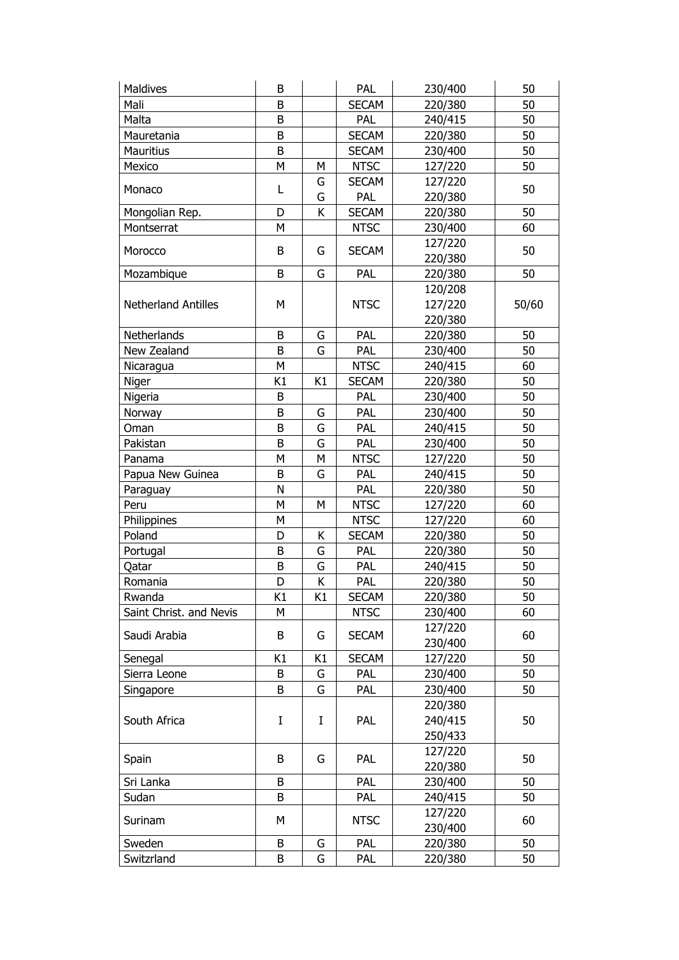| <b>Maldives</b>            | B  |    | PAL          | 230/400 | 50    |
|----------------------------|----|----|--------------|---------|-------|
| Mali                       | B  |    | <b>SECAM</b> | 220/380 | 50    |
| Malta                      | B  |    | PAL          | 240/415 | 50    |
| Mauretania                 | B  |    | <b>SECAM</b> | 220/380 | 50    |
| <b>Mauritius</b>           | B  |    | <b>SECAM</b> | 230/400 | 50    |
| Mexico                     | M  | М  | <b>NTSC</b>  | 127/220 | 50    |
|                            |    | G  | <b>SECAM</b> | 127/220 |       |
| Monaco                     | L  | G  | PAL          | 220/380 | 50    |
| Mongolian Rep.             | D  | K  | <b>SECAM</b> | 220/380 | 50    |
| Montserrat                 | М  |    | <b>NTSC</b>  | 230/400 | 60    |
|                            |    |    |              | 127/220 |       |
| Morocco                    | B  | G  | <b>SECAM</b> | 220/380 | 50    |
| Mozambique                 | B  | G  | PAL          | 220/380 | 50    |
|                            |    |    |              | 120/208 |       |
| <b>Netherland Antilles</b> | M  |    | <b>NTSC</b>  | 127/220 | 50/60 |
|                            |    |    |              | 220/380 |       |
| Netherlands                | B  | G  | PAL          | 220/380 | 50    |
| New Zealand                | B  | G  | PAL          | 230/400 | 50    |
| Nicaragua                  | М  |    | <b>NTSC</b>  | 240/415 | 60    |
| Niger                      | K1 | K1 | <b>SECAM</b> | 220/380 | 50    |
| Nigeria                    | B  |    | PAL          | 230/400 | 50    |
| Norway                     | B  | G  | PAL          | 230/400 | 50    |
| Oman                       | B  | G  | PAL          | 240/415 | 50    |
| Pakistan                   | B  | G  | PAL          | 230/400 | 50    |
| Panama                     | М  | М  | <b>NTSC</b>  | 127/220 | 50    |
| Papua New Guinea           | B  | G  | PAL          | 240/415 | 50    |
| Paraguay                   | N  |    | PAL          | 220/380 | 50    |
| Peru                       | M  | М  | <b>NTSC</b>  | 127/220 | 60    |
| Philippines                | М  |    | <b>NTSC</b>  | 127/220 | 60    |
| Poland                     | D  | Κ  | <b>SECAM</b> | 220/380 | 50    |
| Portugal                   | B  | G  | PAL          | 220/380 | 50    |
| Qatar                      | B  | G  | PAL          | 240/415 | 50    |
| Romania                    | D  | Κ  | PAL          | 220/380 | 50    |
| Rwanda                     | K1 | K1 | <b>SECAM</b> | 220/380 | 50    |
| Saint Christ. and Nevis    | м  |    | <b>NTSC</b>  | 230/400 | 60    |
| Saudi Arabia               | B  | G  | <b>SECAM</b> | 127/220 | 60    |
|                            |    |    |              | 230/400 |       |
| Senegal                    | K1 | K1 | <b>SECAM</b> | 127/220 | 50    |
| Sierra Leone               | В  | G  | PAL          | 230/400 | 50    |
| Singapore                  | B  | G  | PAL          | 230/400 | 50    |
|                            |    |    |              | 220/380 |       |
| South Africa               | I  | I  | PAL          | 240/415 | 50    |
|                            |    |    |              | 250/433 |       |
| Spain                      | B  | G  | PAL          | 127/220 | 50    |
|                            |    |    |              | 220/380 |       |
| Sri Lanka                  | B  |    | PAL          | 230/400 | 50    |
| Sudan                      | B  |    | <b>PAL</b>   | 240/415 | 50    |
| Surinam                    | М  |    | <b>NTSC</b>  | 127/220 | 60    |
|                            |    |    |              | 230/400 |       |
| Sweden                     | B  | G  | PAL          | 220/380 | 50    |
| Switzrland                 | В  | G  | PAL          | 220/380 | 50    |